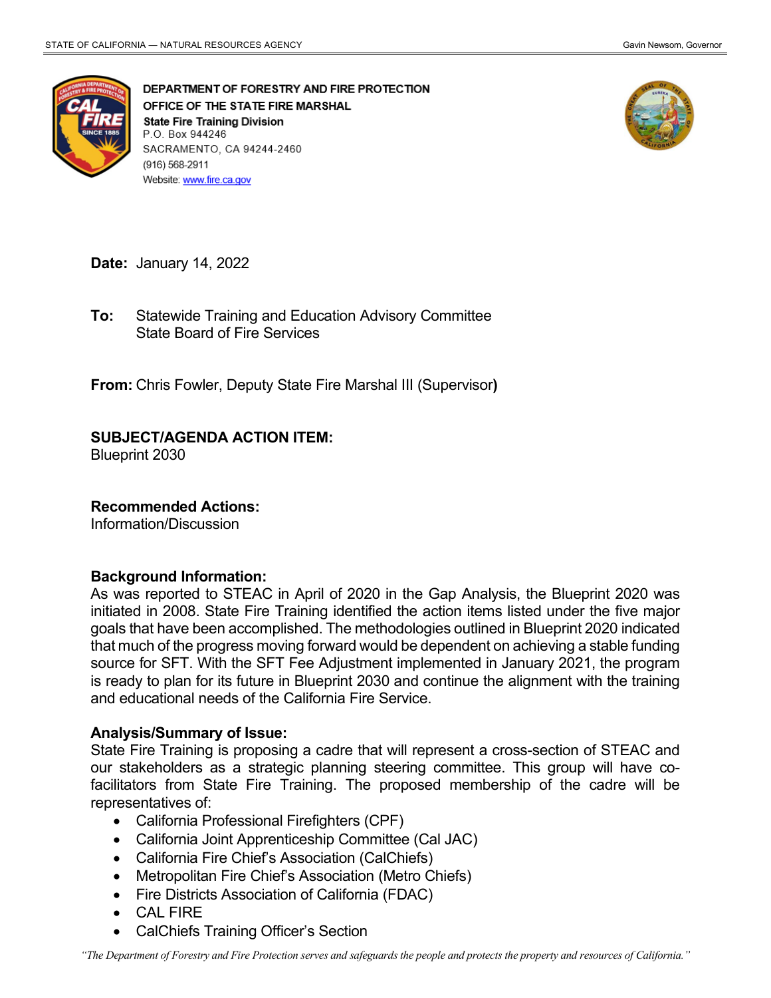

DEPARTMENT OF FORESTRY AND FIRE PROTECTION OFFICE OF THE STATE FIRE MARSHAL **State Fire Training Division** P.O. Box 944246 SACRAMENTO, CA 94244-2460 (916) 568-2911 Website: www.fire.ca.gov



**Date:** January 14, 2022

 State Board of Fire Services **To:** Statewide Training and Education Advisory Committee

**From:** Chris Fowler, Deputy State Fire Marshal III (Supervisor**)** 

## **SUBJECT/AGENDA ACTION ITEM:**

Blueprint 2030

## **Recommended Actions:**

Information/Discussion

## **Background Information:**

 As was reported to STEAC in April of 2020 in the Gap Analysis, the Blueprint 2020 was is ready to plan for its future in Blueprint 2030 and continue the alignment with the training initiated in 2008. State Fire Training identified the action items listed under the five major goals that have been accomplished. The methodologies outlined in Blueprint 2020 indicated that much of the progress moving forward would be dependent on achieving a stable funding source for SFT. With the SFT Fee Adjustment implemented in January 2021, the program and educational needs of the California Fire Service.

## **Analysis/Summary of Issue:**

 State Fire Training is proposing a cadre that will represent a cross-section of STEAC and our stakeholders as a strategic planning steering committee. This group will have co- representatives of: facilitators from State Fire Training. The proposed membership of the cadre will be

- California Professional Firefighters (CPF)
- California Joint Apprenticeship Committee (Cal JAC)
- California Fire Chief's Association (CalChiefs)
- Metropolitan Fire Chief's Association (Metro Chiefs)
- Fire Districts Association of California (FDAC)
- CAL FIRE
- CalChiefs Training Officer's Section